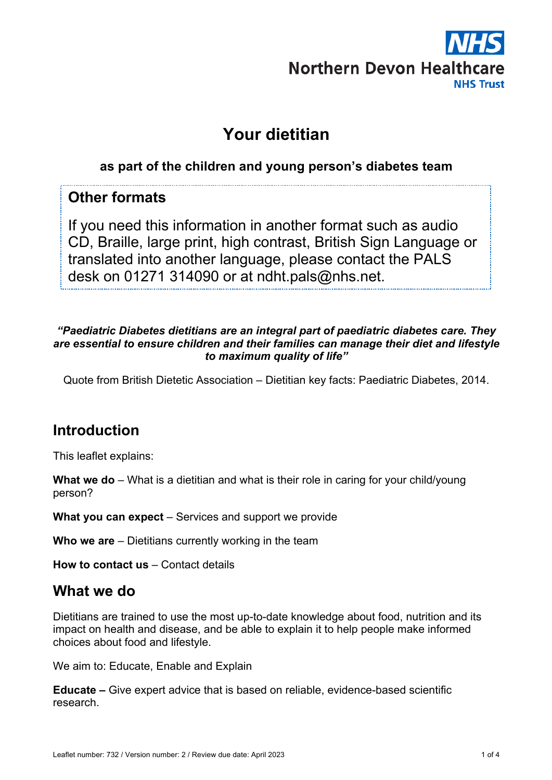

# **Your dietitian**

### **as part of the children and young person's diabetes team**

## **Other formats**

If you need this information in another format such as audio CD, Braille, large print, high contrast, British Sign Language or translated into another language, please contact the PALS desk on 01271 314090 or at ndht.pals@nhs.net.

#### *"Paediatric Diabetes dietitians are an integral part of paediatric diabetes care. They are essential to ensure children and their families can manage their diet and lifestyle to maximum quality of life"*

Quote from British Dietetic Association – Dietitian key facts: Paediatric Diabetes, 2014.

# **Introduction**

This leaflet explains:

**What we do** – What is a dietitian and what is their role in caring for your child/young person?

**What you can expect** – Services and support we provide

**Who we are** – Dietitians currently working in the team

**How to contact us** – Contact details

# **What we do**

Dietitians are trained to use the most up-to-date knowledge about food, nutrition and its impact on health and disease, and be able to explain it to help people make informed choices about food and lifestyle.

We aim to: Educate, Enable and Explain

**Educate –** Give expert advice that is based on reliable, evidence-based scientific research.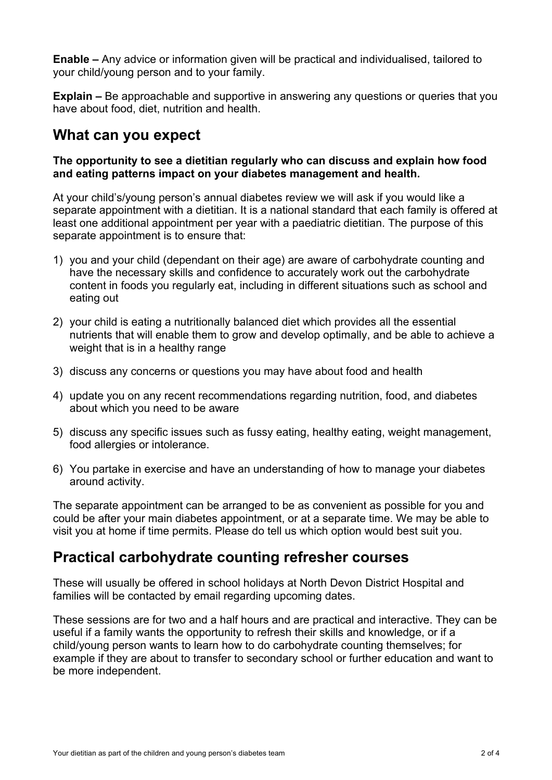**Enable –** Any advice or information given will be practical and individualised, tailored to your child/young person and to your family.

**Explain –** Be approachable and supportive in answering any questions or queries that you have about food, diet, nutrition and health.

## **What can you expect**

#### **The opportunity to see a dietitian regularly who can discuss and explain how food and eating patterns impact on your diabetes management and health.**

At your child's/young person's annual diabetes review we will ask if you would like a separate appointment with a dietitian. It is a national standard that each family is offered at least one additional appointment per year with a paediatric dietitian. The purpose of this separate appointment is to ensure that:

- 1) you and your child (dependant on their age) are aware of carbohydrate counting and have the necessary skills and confidence to accurately work out the carbohydrate content in foods you regularly eat, including in different situations such as school and eating out
- 2) your child is eating a nutritionally balanced diet which provides all the essential nutrients that will enable them to grow and develop optimally, and be able to achieve a weight that is in a healthy range
- 3) discuss any concerns or questions you may have about food and health
- 4) update you on any recent recommendations regarding nutrition, food, and diabetes about which you need to be aware
- 5) discuss any specific issues such as fussy eating, healthy eating, weight management, food allergies or intolerance.
- 6) You partake in exercise and have an understanding of how to manage your diabetes around activity.

The separate appointment can be arranged to be as convenient as possible for you and could be after your main diabetes appointment, or at a separate time. We may be able to visit you at home if time permits. Please do tell us which option would best suit you.

## **Practical carbohydrate counting refresher courses**

These will usually be offered in school holidays at North Devon District Hospital and families will be contacted by email regarding upcoming dates.

These sessions are for two and a half hours and are practical and interactive. They can be useful if a family wants the opportunity to refresh their skills and knowledge, or if a child/young person wants to learn how to do carbohydrate counting themselves; for example if they are about to transfer to secondary school or further education and want to be more independent.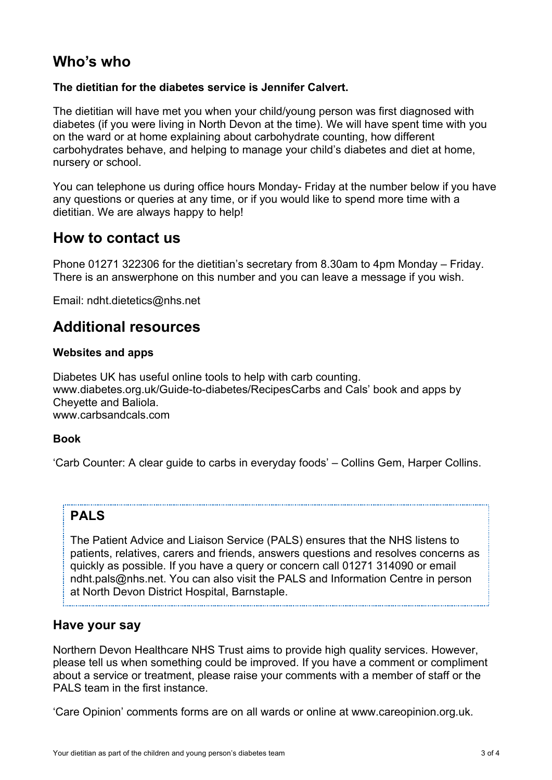## **Who's who**

#### **The dietitian for the diabetes service is Jennifer Calvert.**

The dietitian will have met you when your child/young person was first diagnosed with diabetes (if you were living in North Devon at the time). We will have spent time with you on the ward or at home explaining about carbohydrate counting, how different carbohydrates behave, and helping to manage your child's diabetes and diet at home, nursery or school.

You can telephone us during office hours Monday- Friday at the number below if you have any questions or queries at any time, or if you would like to spend more time with a dietitian. We are always happy to help!

### **How to contact us**

Phone 01271 322306 for the dietitian's secretary from 8.30am to 4pm Monday – Friday. There is an answerphone on this number and you can leave a message if you wish.

Email: ndht.dietetics@nhs.net

### **Additional resources**

#### **Websites and apps**

Diabetes UK has useful online tools to help with carb counting. www.diabetes.org.uk/Guide-to-diabetes/RecipesCarbs and Cals' book and apps by Cheyette and Baliola. www.carbsandcals.com

#### **Book**

'Carb Counter: A clear guide to carbs in everyday foods' – Collins Gem, Harper Collins.

#### **PALS**

The Patient Advice and Liaison Service (PALS) ensures that the NHS listens to patients, relatives, carers and friends, answers questions and resolves concerns as quickly as possible. If you have a query or concern call 01271 314090 or email ndht.pals@nhs.net. You can also visit the PALS and Information Centre in person at North Devon District Hospital, Barnstaple.

#### **Have your say**

Northern Devon Healthcare NHS Trust aims to provide high quality services. However, please tell us when something could be improved. If you have a comment or compliment about a service or treatment, please raise your comments with a member of staff or the PALS team in the first instance.

'Care Opinion' comments forms are on all wards or online at www.careopinion.org.uk.